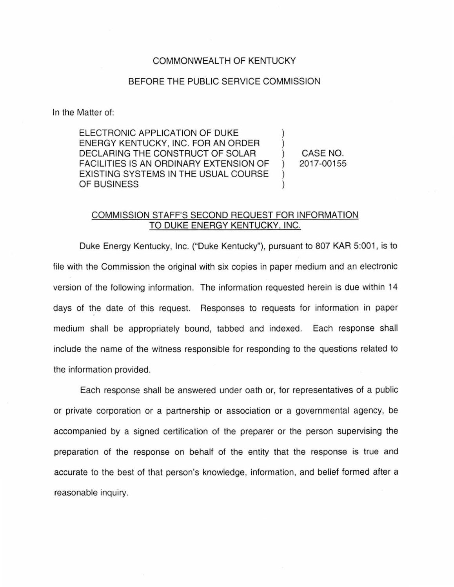## COMMONWEALTH OF KENTUCKY

## BEFORE THE PUBLIC SERVICE COMMISSION

In the Matter of:

ELECTRONIC APPLICATION OF DUKE ENERGY KENTUCKY, INC. FOR AN ORDER DECLARING THE CONSTRUCT OF SOLAR FACILITIES IS AN ORDINARY EXTENSION OF EXISTING SYSTEMS IN THE USUAL COURSE OF BUSINESS

CASE NO. 2017-00155

 $\mathcal{L}$ 

## COMMISSION STAFF'S SECOND REQUEST FOR INFORMATION TO DUKE ENERGY KENTUCKY, INC.

Duke Energy Kentucky, Inc. ("Duke Kentucky"), pursuant to 807 KAR 5:001 , is to file with the Commission the original with six copies in paper medium and an electronic version of the following information. The information requested herein is due within 14 days of the date of this request. Responses to requests for information in paper medium shall be appropriately bound, tabbed and indexed. Each response shall include the name of the witness responsible for responding to the questions related to the information provided.

Each response shall be answered under oath or, for representatives of a public or private corporation or a partnership or association or a governmental agency, be accompanied by a signed certification of the preparer or the person supervising the preparation of the response on behalf of the entity that the response is true and accurate to the best of that person's knowledge, information, and belief formed after a reasonable inquiry.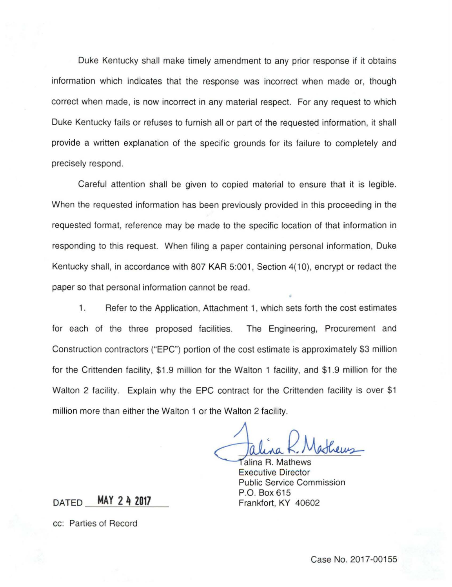Duke Kentucky shall make timely amendment to any prior response if it obtains information which indicates that the response was incorrect when made or, though correct when made, is now incorrect in any material respect. For any request to which Duke Kentucky fails or refuses to furnish all or part of the requested information, it shall provide a written explanation of the specific grounds for its failure to completely and precisely respond.

Careful attention shall be given to copied material to ensure that it is legible. When the requested information has been previously provided in this proceeding in the requested format, reference may be made to the specific location of that information in responding to this request. When filing a paper containing personal information, Duke Kentucky shall, in accordance with 807 KAR 5:001, Section 4(10), encrypt or redact the paper so that personal information cannot be read.

1. Refer to the Application, Attachment 1, which sets forth the cost estimates for each of the three proposed facilities. The Engineering, Procurement and Construction contractors ("EPC") portion of the cost estimate is approximately \$3 million for the Crittenden facility, \$1.9 million for the Walton 1 facility, and \$1.9 million for the Walton 2 facility. Explain why the EPC contract for the Crittenden facility is over \$1 million more than either the Walton 1 or the Walton 2 facility.

Jalina K. Mathews

Executive Dir Public Service Commission P.O. Box 615

DATED **MAY 2 4 2017** Frankfort, KY 40602

cc: Parties of Record